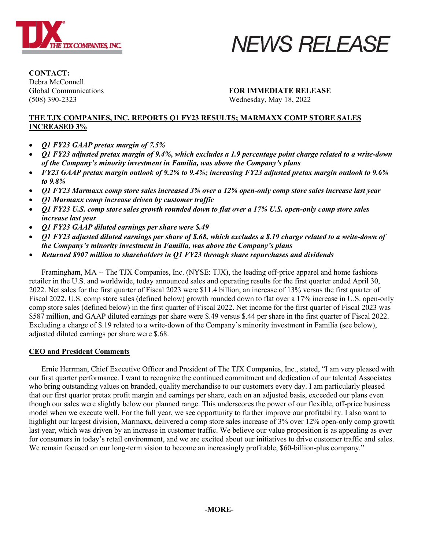

# **NEWS RELEASE**

**CONTACT:** 

Debra McConnell (508) 390-2323 Wednesday, May 18, 2022

Global Communications **FOR IMMEDIATE RELEASE**

#### **THE TJX COMPANIES, INC. REPORTS Q1 FY23 RESULTS; MARMAXX COMP STORE SALES INCREASED 3%**

- *Q1 FY23 GAAP pretax margin of 7.5%*
- *Q1 FY23 adjusted pretax margin of 9.4%, which excludes a 1.9 percentage point charge related to a write-down of the Company's minority investment in Familia, was above the Company's plans*
- *FY23 GAAP pretax margin outlook of 9.2% to 9.4%; increasing FY23 adjusted pretax margin outlook to 9.6% to 9.8%*
- *Q1 FY23 Marmaxx comp store sales increased 3% over a 12% open-only comp store sales increase last year*
- *Q1 Marmaxx comp increase driven by customer traffic*
- *Q1 FY23 U.S. comp store sales growth rounded down to flat over a 17% U.S. open-only comp store sales increase last year*
- *Q1 FY23 GAAP diluted earnings per share were \$.49*
- *Q1 FY23 adjusted diluted earnings per share of \$.68, which excludes a \$.19 charge related to a write-down of the Company's minority investment in Familia, was above the Company's plans*
- *Returned \$907 million to shareholders in Q1 FY23 through share repurchases and dividends*

Framingham, MA -- The TJX Companies, Inc. (NYSE: TJX), the leading off-price apparel and home fashions retailer in the U.S. and worldwide, today announced sales and operating results for the first quarter ended April 30, 2022. Net sales for the first quarter of Fiscal 2023 were \$11.4 billion, an increase of 13% versus the first quarter of Fiscal 2022. U.S. comp store sales (defined below) growth rounded down to flat over a 17% increase in U.S. open-only comp store sales (defined below) in the first quarter of Fiscal 2022. Net income for the first quarter of Fiscal 2023 was \$587 million, and GAAP diluted earnings per share were \$.49 versus \$.44 per share in the first quarter of Fiscal 2022. Excluding a charge of \$.19 related to a write-down of the Company's minority investment in Familia (see below), adjusted diluted earnings per share were \$.68.

#### **CEO and President Comments**

Ernie Herrman, Chief Executive Officer and President of The TJX Companies, Inc., stated, "I am very pleased with our first quarter performance. I want to recognize the continued commitment and dedication of our talented Associates who bring outstanding values on branded, quality merchandise to our customers every day. I am particularly pleased that our first quarter pretax profit margin and earnings per share, each on an adjusted basis, exceeded our plans even though our sales were slightly below our planned range. This underscores the power of our flexible, off-price business model when we execute well. For the full year, we see opportunity to further improve our profitability. I also want to highlight our largest division, Marmaxx, delivered a comp store sales increase of 3% over 12% open-only comp growth last year, which was driven by an increase in customer traffic. We believe our value proposition is as appealing as ever for consumers in today's retail environment, and we are excited about our initiatives to drive customer traffic and sales. We remain focused on our long-term vision to become an increasingly profitable, \$60-billion-plus company."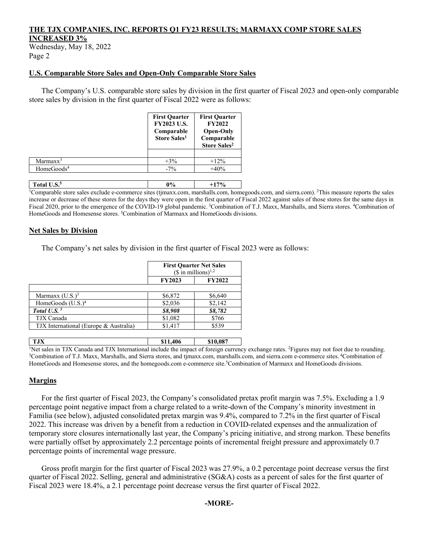Wednesday, May 18, 2022 Page 2

#### **U.S. Comparable Store Sales and Open-Only Comparable Store Sales**

The Company's U.S. comparable store sales by division in the first quarter of Fiscal 2023 and open-only comparable store sales by division in the first quarter of Fiscal 2022 were as follows:

|                        | <b>First Ouarter</b><br><b>FY2023 U.S.</b><br>Comparable<br>Store Sales <sup>1</sup> | <b>First Ouarter</b><br><b>FY2022</b><br><b>Open-Only</b><br>Comparable<br>Store Sales <sup>2</sup> |
|------------------------|--------------------------------------------------------------------------------------|-----------------------------------------------------------------------------------------------------|
|                        |                                                                                      |                                                                                                     |
| Marmaxx <sup>3</sup>   | $+3\%$                                                                               | $+12%$                                                                                              |
| HomeGoods <sup>4</sup> | $-7\%$                                                                               | $+40%$                                                                                              |
|                        |                                                                                      |                                                                                                     |

**Total U.S.5 0% +17%**

1Comparable store sales exclude e-commerce sites (tjmaxx.com, marshalls.com, homegoods.com, and sierra.com). 2This measure reports the sales increase or decrease of these stores for the days they were open in the first quarter of Fiscal 2022 against sales of those stores for the same days in Fiscal 2020, prior to the emergence of the COVID-19 global pandemic. <sup>3</sup>Combination of T.J. Maxx, Marshalls, and Sierra stores. <sup>4</sup>Combination of HomeGoods and Homesense stores. 5Combination of Marmaxx and HomeGoods divisions.

#### **Net Sales by Division**

The Company's net sales by division in the first quarter of Fiscal 2023 were as follows:

|                                        | <b>First Quarter Net Sales</b><br>$($$ in millions) <sup>1,2</sup> |               |  |
|----------------------------------------|--------------------------------------------------------------------|---------------|--|
|                                        | <b>FY2023</b>                                                      | <b>FY2022</b> |  |
|                                        |                                                                    |               |  |
| Marmaxx $(U.S.)^3$                     | \$6,872                                                            | \$6,640       |  |
| HomeGoods $(U.S.)4$                    | \$2,036                                                            | \$2,142       |  |
| Total U.S. <sup>5</sup>                | \$8,908                                                            | \$8,782       |  |
| TJX Canada                             | \$1,082                                                            | \$766         |  |
| TJX International (Europe & Australia) | \$1,417                                                            | \$539         |  |

**TJX \$11,406 \$10,087** <sup>1</sup>Net sales in TJX Canada and TJX International include the impact of foreign currency exchange rates. <sup>2</sup>Figures may not foot due to rounding.<br><sup>3</sup>Combination of T.J. Maxx, Marshalls, and Sierra stores, and tjmaxx.com, ma HomeGoods and Homesense stores, and the homegoods.com e-commerce site. 5Combination of Marmaxx and HomeGoods divisions.

#### **Margins**

For the first quarter of Fiscal 2023, the Company's consolidated pretax profit margin was 7.5%. Excluding a 1.9 percentage point negative impact from a charge related to a write-down of the Company's minority investment in Familia (see below), adjusted consolidated pretax margin was 9.4%, compared to 7.2% in the first quarter of Fiscal 2022. This increase was driven by a benefit from a reduction in COVID-related expenses and the annualization of temporary store closures internationally last year, the Company's pricing initiative, and strong markon. These benefits were partially offset by approximately 2.2 percentage points of incremental freight pressure and approximately 0.7 percentage points of incremental wage pressure.

Gross profit margin for the first quarter of Fiscal 2023 was 27.9%, a 0.2 percentage point decrease versus the first quarter of Fiscal 2022. Selling, general and administrative (SG&A) costs as a percent of sales for the first quarter of Fiscal 2023 were 18.4%, a 2.1 percentage point decrease versus the first quarter of Fiscal 2022.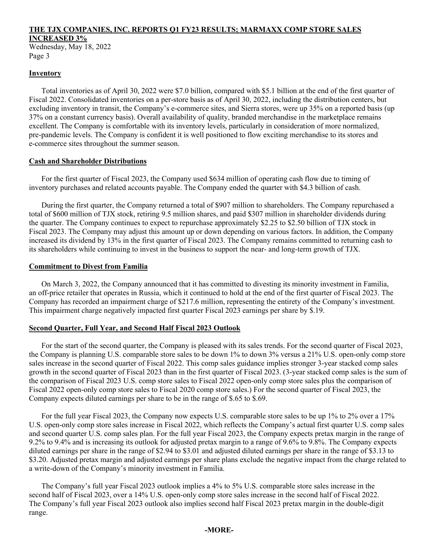Wednesday, May 18, 2022 Page 3

#### **Inventory**

Total inventories as of April 30, 2022 were \$7.0 billion, compared with \$5.1 billion at the end of the first quarter of Fiscal 2022. Consolidated inventories on a per-store basis as of April 30, 2022, including the distribution centers, but excluding inventory in transit, the Company's e-commerce sites, and Sierra stores, were up 35% on a reported basis (up 37% on a constant currency basis). Overall availability of quality, branded merchandise in the marketplace remains excellent. The Company is comfortable with its inventory levels, particularly in consideration of more normalized, pre-pandemic levels. The Company is confident it is well positioned to flow exciting merchandise to its stores and e-commerce sites throughout the summer season.

#### **Cash and Shareholder Distributions**

For the first quarter of Fiscal 2023, the Company used \$634 million of operating cash flow due to timing of inventory purchases and related accounts payable. The Company ended the quarter with \$4.3 billion of cash.

During the first quarter, the Company returned a total of \$907 million to shareholders. The Company repurchased a total of \$600 million of TJX stock, retiring 9.5 million shares, and paid \$307 million in shareholder dividends during the quarter. The Company continues to expect to repurchase approximately \$2.25 to \$2.50 billion of TJX stock in Fiscal 2023. The Company may adjust this amount up or down depending on various factors. In addition, the Company increased its dividend by 13% in the first quarter of Fiscal 2023. The Company remains committed to returning cash to its shareholders while continuing to invest in the business to support the near- and long-term growth of TJX.

#### **Commitment to Divest from Familia**

 On March 3, 2022, the Company announced that it has committed to divesting its minority investment in Familia, an off-price retailer that operates in Russia, which it continued to hold at the end of the first quarter of Fiscal 2023. The Company has recorded an impairment charge of \$217.6 million, representing the entirety of the Company's investment. This impairment charge negatively impacted first quarter Fiscal 2023 earnings per share by \$.19.

#### **Second Quarter, Full Year, and Second Half Fiscal 2023 Outlook**

For the start of the second quarter, the Company is pleased with its sales trends. For the second quarter of Fiscal 2023, the Company is planning U.S. comparable store sales to be down 1% to down 3% versus a 21% U.S. open-only comp store sales increase in the second quarter of Fiscal 2022. This comp sales guidance implies stronger 3-year stacked comp sales growth in the second quarter of Fiscal 2023 than in the first quarter of Fiscal 2023. (3-year stacked comp sales is the sum of the comparison of Fiscal 2023 U.S. comp store sales to Fiscal 2022 open-only comp store sales plus the comparison of Fiscal 2022 open-only comp store sales to Fiscal 2020 comp store sales.) For the second quarter of Fiscal 2023, the Company expects diluted earnings per share to be in the range of \$.65 to \$.69.

For the full year Fiscal 2023, the Company now expects U.S. comparable store sales to be up 1% to 2% over a 17% U.S. open-only comp store sales increase in Fiscal 2022, which reflects the Company's actual first quarter U.S. comp sales and second quarter U.S. comp sales plan. For the full year Fiscal 2023, the Company expects pretax margin in the range of 9.2% to 9.4% and is increasing its outlook for adjusted pretax margin to a range of 9.6% to 9.8%. The Company expects diluted earnings per share in the range of \$2.94 to \$3.01 and adjusted diluted earnings per share in the range of \$3.13 to \$3.20. Adjusted pretax margin and adjusted earnings per share plans exclude the negative impact from the charge related to a write-down of the Company's minority investment in Familia.

 The Company's full year Fiscal 2023 outlook implies a 4% to 5% U.S. comparable store sales increase in the second half of Fiscal 2023, over a 14% U.S. open-only comp store sales increase in the second half of Fiscal 2022. The Company's full year Fiscal 2023 outlook also implies second half Fiscal 2023 pretax margin in the double-digit range.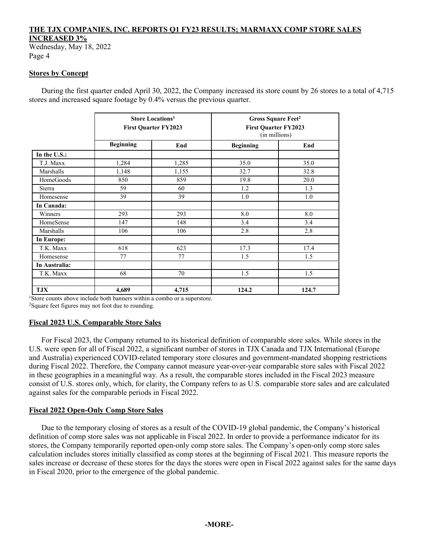Wednesday, May 18, 2022 Page 4

#### **Stores by Concept**

During the first quarter ended April 30, 2022, the Company increased its store count by 26 stores to a total of 4,715 stores and increased square footage by 0.4% versus the previous quarter.

|               | Store Locations <sup>1</sup><br><b>First Quarter FY2023</b> |       | Gross Square Feet <sup>2</sup><br><b>First Quarter FY2023</b><br>(in millions) |       |
|---------------|-------------------------------------------------------------|-------|--------------------------------------------------------------------------------|-------|
|               | <b>Beginning</b>                                            | End   | <b>Beginning</b>                                                               | End   |
| In the U.S.:  |                                                             |       |                                                                                |       |
| T.J. Maxx     | 1,284                                                       | 1,285 | 35.0                                                                           | 35.0  |
| Marshalls     | 1,148                                                       | 1,155 | 32.7                                                                           | 32.8  |
| HomeGoods     | 850                                                         | 859   | 19.8                                                                           | 20.0  |
| Sierra        | 59                                                          | 60    | 1.2                                                                            | 1.3   |
| Homesense     | 39                                                          | 39    | 1.0                                                                            | 1.0   |
| In Canada:    |                                                             |       |                                                                                |       |
| Winners       | 293                                                         | 293   | 8.0                                                                            | 8.0   |
| HomeSense     | 147                                                         | 148   | 3.4                                                                            | 3.4   |
| Marshalls     | 106                                                         | 106   | 2.8                                                                            | 2.8   |
| In Europe:    |                                                             |       |                                                                                |       |
| T.K. Maxx     | 618                                                         | 623   | 17.3                                                                           | 17.4  |
| Homesense     | 77                                                          | 77    | 1.5                                                                            | 1.5   |
| In Australia: |                                                             |       |                                                                                |       |
| T.K. Maxx     | 68                                                          | 70    | 1.5                                                                            | 1.5   |
| <b>TJX</b>    | 4,689                                                       | 4,715 | 124.2                                                                          | 124.7 |

<sup>1</sup>Store counts above include both banners within a combo or a superstore.

2Square feet figures may not foot due to rounding.

#### **Fiscal 2023 U.S. Comparable Store Sales**

 For Fiscal 2023, the Company returned to its historical definition of comparable store sales. While stores in the U.S. were open for all of Fiscal 2022, a significant number of stores in TJX Canada and TJX International (Europe and Australia) experienced COVID-related temporary store closures and government-mandated shopping restrictions during Fiscal 2022. Therefore, the Company cannot measure year-over-year comparable store sales with Fiscal 2022 in these geographies in a meaningful way. As a result, the comparable stores included in the Fiscal 2023 measure consist of U.S. stores only, which, for clarity, the Company refers to as U.S. comparable store sales and are calculated against sales for the comparable periods in Fiscal 2022.

## **Fiscal 2022 Open-Only Comp Store Sales**

Due to the temporary closing of stores as a result of the COVID-19 global pandemic, the Company's historical definition of comp store sales was not applicable in Fiscal 2022. In order to provide a performance indicator for its stores, the Company temporarily reported open-only comp store sales. The Company's open-only comp store sales calculation includes stores initially classified as comp stores at the beginning of Fiscal 2021. This measure reports the sales increase or decrease of these stores for the days the stores were open in Fiscal 2022 against sales for the same days in Fiscal 2020, prior to the emergence of the global pandemic.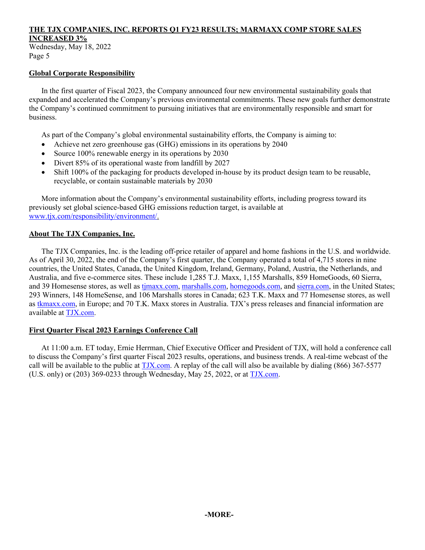Wednesday, May 18, 2022 Page 5

#### **Global Corporate Responsibility**

In the first quarter of Fiscal 2023, the Company announced four new environmental sustainability goals that expanded and accelerated the Company's previous environmental commitments. These new goals further demonstrate the Company's continued commitment to pursuing initiatives that are environmentally responsible and smart for business.

As part of the Company's global environmental sustainability efforts, the Company is aiming to:

- Achieve net zero greenhouse gas (GHG) emissions in its operations by 2040
- Source 100% renewable energy in its operations by 2030
- Divert 85% of its operational waste from landfill by 2027
- Shift 100% of the packaging for products developed in-house by its product design team to be reusable, recyclable, or contain sustainable materials by 2030

More information about the Company's environmental sustainability efforts, including progress toward its previously set global science-based GHG emissions reduction target, is available at [www.tjx.com/responsibility/environment/.](http://www.tjx.com/responsibility/environment/)

#### **About The TJX Companies, Inc.**

The TJX Companies, Inc. is the leading off-price retailer of apparel and home fashions in the U.S. and worldwide. As of April 30, 2022, the end of the Company's first quarter, the Company operated a total of 4,715 stores in nine countries, the United States, Canada, the United Kingdom, Ireland, Germany, Poland, Austria, the Netherlands, and Australia, and five e-commerce sites. These include 1,285 T.J. Maxx, 1,155 Marshalls, 859 HomeGoods, 60 Sierra, and 39 Homesense stores, as well as timaxx.com, [marshalls.com,](http://www.marshalls.com/) [homegoods.com,](http://www.homegoods.com/) and [sierra.com,](http://www.sierra.com/) in the United States; 293 Winners, 148 HomeSense, and 106 Marshalls stores in Canada; 623 T.K. Maxx and 77 Homesense stores, as well as [tkmaxx.com,](http://www.tkmaxx.com/) in Europe; and 70 T.K. Maxx stores in Australia. TJX's press releases and financial information are available at **TJX**.com.

## **First Quarter Fiscal 2023 Earnings Conference Call**

At 11:00 a.m. ET today, Ernie Herrman, Chief Executive Officer and President of TJX, will hold a conference call to discuss the Company's first quarter Fiscal 2023 results, operations, and business trends. A real-time webcast of the call will be available to the public at [TJX.com.](http://www.tjx.com/) A replay of the call will also be available by dialing (866) 367-5577 (U.S. only) or (203) 369-0233 through Wednesday, May 25, 2022, or at [TJX.com.](http://www.tjx.com/)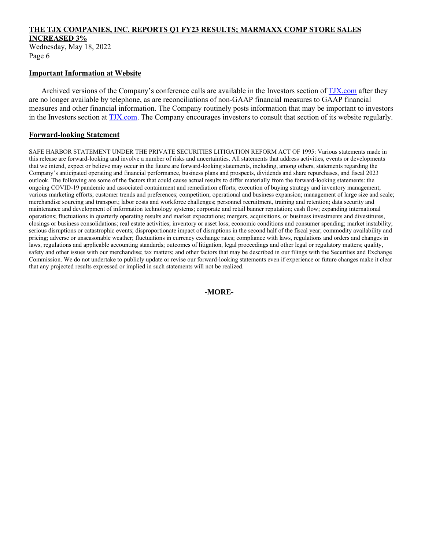Wednesday, May 18, 2022 Page 6

#### **Important Information at Website**

Archived versions of the Company's conference calls are available in the Investors section of [TJX.com](http://www.tjx.com/) after they are no longer available by telephone, as are reconciliations of non-GAAP financial measures to GAAP financial measures and other financial information. The Company routinely posts information that may be important to investors in the Investors section at [TJX.com.](http://www.tjx.com/) The Company encourages investors to consult that section of its website regularly.

#### **Forward-looking Statement**

SAFE HARBOR STATEMENT UNDER THE PRIVATE SECURITIES LITIGATION REFORM ACT OF 1995: Various statements made in this release are forward-looking and involve a number of risks and uncertainties. All statements that address activities, events or developments that we intend, expect or believe may occur in the future are forward-looking statements, including, among others, statements regarding the Company's anticipated operating and financial performance, business plans and prospects, dividends and share repurchases, and fiscal 2023 outlook. The following are some of the factors that could cause actual results to differ materially from the forward-looking statements: the ongoing COVID-19 pandemic and associated containment and remediation efforts; execution of buying strategy and inventory management; various marketing efforts; customer trends and preferences; competition; operational and business expansion; management of large size and scale; merchandise sourcing and transport; labor costs and workforce challenges; personnel recruitment, training and retention; data security and maintenance and development of information technology systems; corporate and retail banner reputation; cash flow; expanding international operations; fluctuations in quarterly operating results and market expectations; mergers, acquisitions, or business investments and divestitures, closings or business consolidations; real estate activities; inventory or asset loss; economic conditions and consumer spending; market instability; serious disruptions or catastrophic events; disproportionate impact of disruptions in the second half of the fiscal year; commodity availability and pricing; adverse or unseasonable weather; fluctuations in currency exchange rates; compliance with laws, regulations and orders and changes in laws, regulations and applicable accounting standards; outcomes of litigation, legal proceedings and other legal or regulatory matters; quality, safety and other issues with our merchandise; tax matters; and other factors that may be described in our filings with the Securities and Exchange Commission. We do not undertake to publicly update or revise our forward-looking statements even if experience or future changes make it clear that any projected results expressed or implied in such statements will not be realized.

**-MORE-**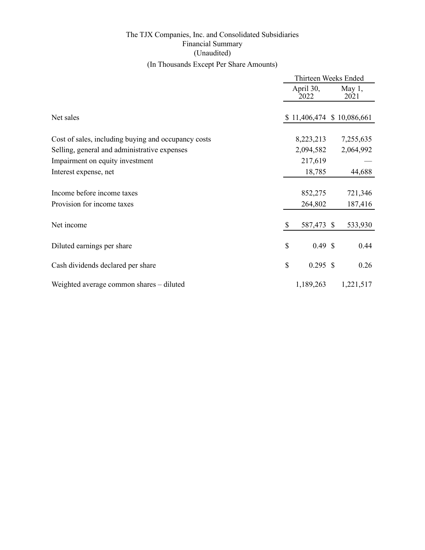## The TJX Companies, Inc. and Consolidated Subsidiaries Financial Summary (Unaudited) (In Thousands Except Per Share Amounts)

|                                                          | Thirteen Weeks Ended        |  |                    |
|----------------------------------------------------------|-----------------------------|--|--------------------|
|                                                          | April 30,<br>2022           |  | May 1,<br>2021     |
| Net sales                                                | $$11,406,474$ $$10,086,661$ |  |                    |
| Cost of sales, including buying and occupancy costs      | 8,223,213                   |  | 7,255,635          |
| Selling, general and administrative expenses             | 2,094,582                   |  | 2,064,992          |
| Impairment on equity investment                          | 217,619                     |  |                    |
| Interest expense, net                                    | 18,785                      |  | 44,688             |
| Income before income taxes<br>Provision for income taxes | 852,275<br>264,802          |  | 721,346<br>187,416 |
| Net income                                               | \$<br>587,473 \$            |  | 533,930            |
| Diluted earnings per share                               | \$<br>$0.49 \text{ }$ \$    |  | 0.44               |
| Cash dividends declared per share                        | \$<br>$0.295$ \$            |  | 0.26               |
| Weighted average common shares – diluted                 | 1,189,263                   |  | 1,221,517          |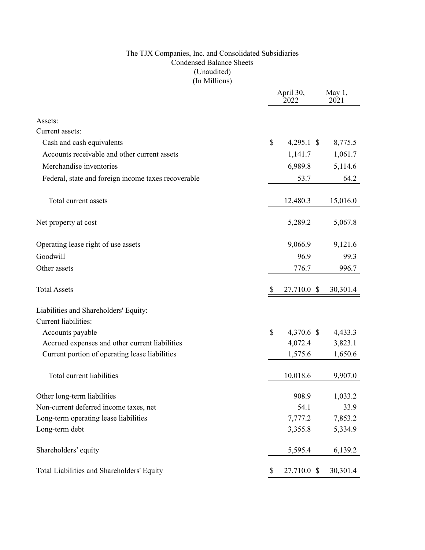## The TJX Companies, Inc. and Consolidated Subsidiaries Condensed Balance Sheets (Unaudited) (In Millions)

|                                                     |    | April 30,<br>2022 | May 1,<br>2021 |
|-----------------------------------------------------|----|-------------------|----------------|
|                                                     |    |                   |                |
| Assets:<br>Current assets:                          |    |                   |                |
|                                                     | \$ | $4,295.1$ \$      | 8,775.5        |
| Cash and cash equivalents                           |    |                   |                |
| Accounts receivable and other current assets        |    | 1,141.7           | 1,061.7        |
| Merchandise inventories                             |    | 6,989.8           | 5,114.6        |
| Federal, state and foreign income taxes recoverable |    | 53.7              | 64.2           |
| Total current assets                                |    | 12,480.3          | 15,016.0       |
| Net property at cost                                |    | 5,289.2           | 5,067.8        |
| Operating lease right of use assets                 |    | 9,066.9           | 9,121.6        |
| Goodwill                                            |    | 96.9              | 99.3           |
| Other assets                                        |    | 776.7             | 996.7          |
| <b>Total Assets</b>                                 | \$ | 27,710.0 \$       | 30,301.4       |
| Liabilities and Shareholders' Equity:               |    |                   |                |
| Current liabilities:                                |    |                   |                |
| Accounts payable                                    | \$ | 4,370.6 \$        | 4,433.3        |
| Accrued expenses and other current liabilities      |    | 4,072.4           | 3,823.1        |
| Current portion of operating lease liabilities      |    | 1,575.6           | 1,650.6        |
| Total current liabilities                           |    | 10,018.6          | 9,907.0        |
| Other long-term liabilities                         |    | 908.9             | 1,033.2        |
| Non-current deferred income taxes, net              |    | 54.1              | 33.9           |
| Long-term operating lease liabilities               |    | 7,777.2           | 7,853.2        |
| Long-term debt                                      |    | 3,355.8           | 5,334.9        |
| Shareholders' equity                                |    | 5,595.4           | 6,139.2        |
| Total Liabilities and Shareholders' Equity          | P  | 27,710.0 \$       | 30,301.4       |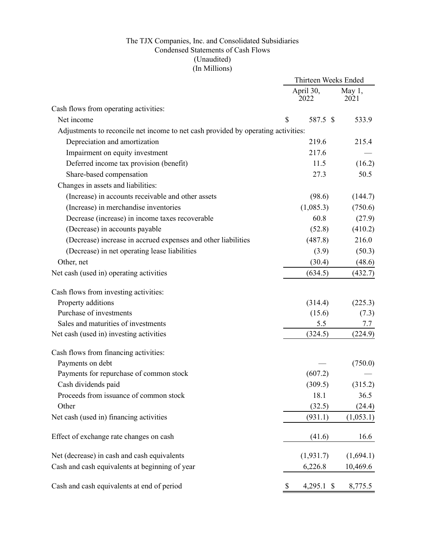#### The TJX Companies, Inc. and Consolidated Subsidiaries Condensed Statements of Cash Flows (Unaudited) (In Millions)

|                                                                                   | Thirteen Weeks Ended |                   |                  |
|-----------------------------------------------------------------------------------|----------------------|-------------------|------------------|
|                                                                                   |                      | April 30,<br>2022 | May $1,$<br>2021 |
| Cash flows from operating activities:                                             |                      |                   |                  |
| Net income                                                                        | \$                   | 587.5 \$          | 533.9            |
| Adjustments to reconcile net income to net cash provided by operating activities: |                      |                   |                  |
| Depreciation and amortization                                                     |                      | 219.6             | 215.4            |
| Impairment on equity investment                                                   |                      | 217.6             |                  |
| Deferred income tax provision (benefit)                                           |                      | 11.5              | (16.2)           |
| Share-based compensation                                                          |                      | 27.3              | 50.5             |
| Changes in assets and liabilities:                                                |                      |                   |                  |
| (Increase) in accounts receivable and other assets                                |                      | (98.6)            | (144.7)          |
| (Increase) in merchandise inventories                                             |                      | (1,085.3)         | (750.6)          |
| Decrease (increase) in income taxes recoverable                                   |                      | 60.8              | (27.9)           |
| (Decrease) in accounts payable                                                    |                      | (52.8)            | (410.2)          |
| (Decrease) increase in accrued expenses and other liabilities                     |                      | (487.8)           | 216.0            |
| (Decrease) in net operating lease liabilities                                     |                      | (3.9)             | (50.3)           |
| Other, net                                                                        |                      | (30.4)            | (48.6)           |
| Net cash (used in) operating activities                                           |                      | (634.5)           | (432.7)          |
| Cash flows from investing activities:                                             |                      |                   |                  |
| Property additions                                                                |                      | (314.4)           | (225.3)          |
| Purchase of investments                                                           |                      | (15.6)            | (7.3)            |
| Sales and maturities of investments                                               |                      | 5.5               | 7.7              |
| Net cash (used in) investing activities                                           |                      | (324.5)           | (224.9)          |
| Cash flows from financing activities:                                             |                      |                   |                  |
| Payments on debt                                                                  |                      |                   | (750.0)          |
| Payments for repurchase of common stock                                           |                      | (607.2)           |                  |
| Cash dividends paid                                                               |                      | (309.5)           | (315.2)          |
| Proceeds from issuance of common stock                                            |                      | 18.1              | 36.5             |
| Other                                                                             |                      | (32.5)            | (24.4)           |
| Net cash (used in) financing activities                                           |                      | (931.1)           | (1,053.1)        |
| Effect of exchange rate changes on cash                                           |                      | (41.6)            | 16.6             |
| Net (decrease) in cash and cash equivalents                                       |                      | (1,931.7)         | (1,694.1)        |
| Cash and cash equivalents at beginning of year                                    |                      | 6,226.8           | 10,469.6         |
| Cash and cash equivalents at end of period                                        | \$                   | 4,295.1 \$        | 8,775.5          |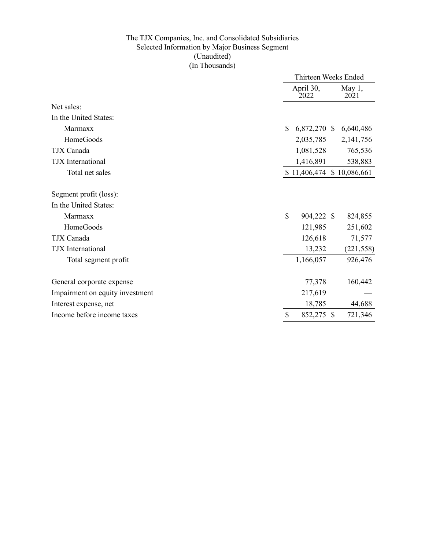#### The TJX Companies, Inc. and Consolidated Subsidiaries Selected Information by Major Business Segment (Unaudited) (In Thousands)

|                                 |                   | Thirteen Weeks Ended |                           |  |
|---------------------------------|-------------------|----------------------|---------------------------|--|
|                                 | April 30,<br>2022 |                      | May 1,<br>2021            |  |
| Net sales:                      |                   |                      |                           |  |
| In the United States:           |                   |                      |                           |  |
| Marmaxx                         | \$                | $6,872,270$ \$       | 6,640,486                 |  |
| HomeGoods                       |                   | 2,035,785            | 2,141,756                 |  |
| TJX Canada                      |                   | 1,081,528            | 765,536                   |  |
| <b>TJX</b> International        |                   | 1,416,891            | 538,883                   |  |
| Total net sales                 |                   |                      | \$11,406,474 \$10,086,661 |  |
| Segment profit (loss):          |                   |                      |                           |  |
| In the United States:           |                   |                      |                           |  |
| Marmaxx                         | \$                | 904,222 \$           | 824,855                   |  |
| HomeGoods                       |                   | 121,985              | 251,602                   |  |
| TJX Canada                      |                   | 126,618              | 71,577                    |  |
| <b>TJX</b> International        |                   | 13,232               | (221, 558)                |  |
| Total segment profit            |                   | 1,166,057            | 926,476                   |  |
| General corporate expense       |                   | 77,378               | 160,442                   |  |
| Impairment on equity investment |                   | 217,619              |                           |  |
| Interest expense, net           |                   | 18,785               | 44,688                    |  |
| Income before income taxes      | \$                | 852,275<br>-S        | 721,346                   |  |